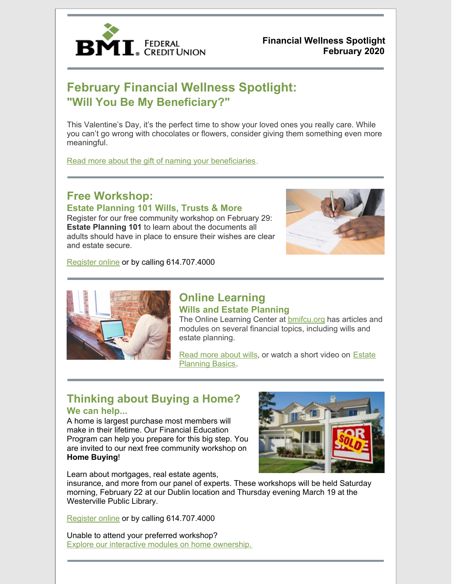

**Financial Wellness Spotlight February 2020**

## **February Financial Wellness Spotlight: "Will You Be My Beneficiary?"**

This Valentine's Day, it's the perfect time to show your loved ones you really care. While you can't go wrong with chocolates or flowers, consider giving them something even more meaningful.

Read more about the gift of naming your beneficiaries.

## **Free Workshop:**

**Estate Planning 101 Wills, Trusts & More**

Register for our free community workshop on February 29: **Estate Planning 101** to learn about the documents all adults should have in place to ensure their wishes are clear and estate secure.



Register online or by calling 614.707.4000



### **Online Learning Wills and Estate Planning**

The Online Learning Center at **bmifcu.org** has articles and modules on several financial topics, including wills and estate planning.

Read more about wills, or watch a short video on Estate Planning Basics.

# **Thinking about Buying a Home?**

#### **We can help...**

A home is largest purchase most members will make in their lifetime. Our Financial Education Program can help you prepare for this big step. You are invited to our next free community workshop on **Home Buying**!



Learn about mortgages, real estate agents,

insurance, and more from our panel of experts. These workshops will be held Saturday morning, February 22 at our Dublin location and Thursday evening March 19 at the Westerville Public Library.

Register online or by calling 614.707.4000

Unable to attend your preferred workshop? Explore our interactive modules on home ownership.